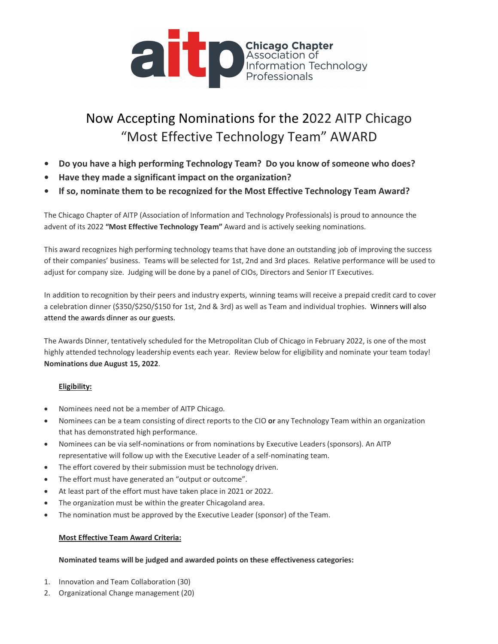

# Now Accepting Nominations for the 2022 AITP Chicago "Most Effective Technology Team" AWARD

- **• Do you have a high performing Technology Team? Do you know of someone who does?**
- **• Have they made a significant impact on the organization?**
- **• If so, nominate them to be recognized for the Most Effective Technology Team Award?**

The Chicago Chapter of AITP (Association of Information and Technology Professionals) is proud to announce the advent of its 2022 **"Most Effective Technology Team"** Award and is actively seeking nominations.

This award recognizes high performing technology teams that have done an outstanding job of improving the success of their companies' business. Teams will be selected for 1st, 2nd and 3rd places. Relative performance will be used to adjust for company size. Judging will be done by a panel of CIOs, Directors and Senior IT Executives.

In addition to recognition by their peers and industry experts, winning teams will receive a prepaid credit card to cover a celebration dinner (\$350/\$250/\$150 for 1st, 2nd & 3rd) as well as Team and individual trophies. Winners will also attend the awards dinner as our guests.

The Awards Dinner, tentatively scheduled for the Metropolitan Club of Chicago in February 2022, is one of the most highly attended technology leadership events each year. Review below for eligibility and nominate your team today! **Nominations due August 15, 2022**.

## **Eligibility:**

- Nominees need not be a member of AITP Chicago.
- Nominees can be a team consisting of direct reports to the CIO **or** any Technology Team within an organization that has demonstrated high performance.
- Nominees can be via self-nominations or from nominations by Executive Leaders (sponsors). An AITP representative will follow up with the Executive Leader of a self-nominating team.
- The effort covered by their submission must be technology driven.
- The effort must have generated an "output or outcome".
- At least part of the effort must have taken place in 2021 or 2022.
- The organization must be within the greater Chicagoland area.
- The nomination must be approved by the Executive Leader (sponsor) of the Team.

## **Most Effective Team Award Criteria:**

## **Nominated teams will be judged and awarded points on these effectiveness categories:**

- 1. Innovation and Team Collaboration (30)
- 2. Organizational Change management (20)